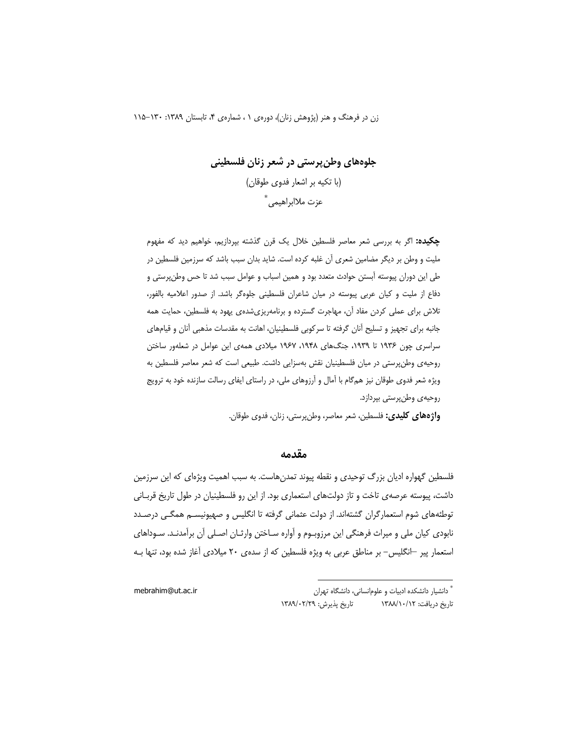زن در فرهنگ و هنر (پژوهش زنان)، دورهی ۰ ، شمارهی ۴، تابستان ۱۳۸۹: ۱۳۰-۱۱۵

جلوههای وطن پرستی در شعر زنان فلسطینی (با تکیه بر اشعار فدوی طوقان) عزت ملاابراهيمي<sup>\*</sup>

**چکیده:** اگر به بررسی شعر معاصر فلسطین خلال یک قرن گذشته بپردازیم، خواهیم دید که مفهوم ملیت و وطن بر دیگر مضامین شعری آن غلبه کرده است. شاید بدان سبب باشد که سرزمین فلسطین در طی این دوران پیوسته آبستن حوادث متعدد بود و همین اسباب و عوامل سبب شد تا حس وطنپرستی و دفاع از ملیت و کیان عربی پیوسته در میان شاعران فلسطینی جلوهگر باشد. از صدور اعلامیه بالفور، تلاش برای عملی کردن مفاد آن، مهاجرت گسترده و برنامهریزیشدهی یهود به فلسطین، حمایت همه جانبه برای تجهیز و تسلیح آنان گرفته تا سرکوبی فلسطینیان، اهانت به مقدسات مذهبی آنان و قیامهای سراسری چون ۱۹۳۶ تا ۱۹۳۹، جنگهای ۱۹۴۸، ۱۹۶۷ میلادی همهی این عوامل در شعلهور ساختن روحیهی وطن پرستی در میان فلسطینیان نقش بهسزایی داشت. طبیعی است که شعر معاصر فلسطین به ویژه شعر فدوی طوقان نیز همگام با آمال و آرزوهای ملی، در راستای ایفای رسالت سازنده خود به ترویج روحيه ي وطن پرستي بپردازد.

**واژههای کلیدی:** فلسطین، شعر معاصر، وطنپرستی، زنان، فدوی طوقان.

#### مقدمه

فلسطین گهواره ادیان بزرگ توحیدی و نقطه پیوند تمدنهاست. به سبب اهمیت ویژهای که این سرزمین داشت، پیوسته عرصهی تاخت و تاز دولتهای استعماری بود. از این رو فلسطینیان در طول تاریخ قربـانی توطئههای شوم استعمارگران گشتهاند. از دولت عثمانی گرفته تا انگلیس و صهیونیسـم همگـی درصـدد نابودي کيان ملي و ميراث فرهنگي اين مرزوبـوم و آواره سـاختن وارثـان اصـلي آن برآمدنـد. سـوداهاي استعمار پیر —انگلیس– بر مناطق عربی به ویژه فلسطین که از سدهی ۲۰ میلادی آغاز شده بود، تنها بـه

mebrahim@ut.ac.ir

<sup>&</sup>quot; دانشیار دانشکده ادبیات و علوم|نسانی، دانشگاه تهران تاريخ پذيرش: ١٣٨٩/٠٢/٢٩ تاریخ دریافت: ۱۳۸۸/۱۰/۱۲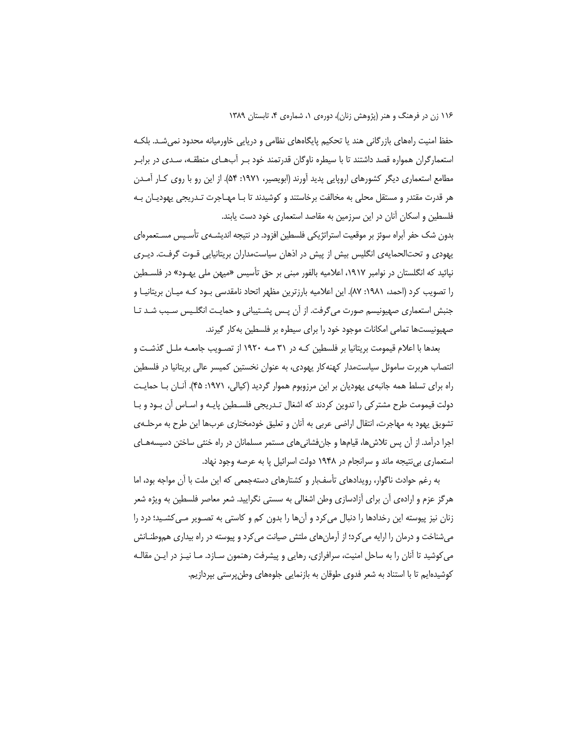حفظ امنیت راههای بازر گانی هند یا تحکیم پایگاههای نظامی و دریایی خاورمیانه محدود نمی شـد. بلکـه استعمارگران همواره قصد داشتند تا با سیطره ناوگان قدرتمند خود بـر أبـهـای منطقـه، سـدی در برابـر مطامع استعماری دیگر کشورهای اروپایی پدید اَورند (ابویصیر، ۱۹۷۱: ۵۴). از این رو با روی کـار اَمـدن هر قدرت مقتدر و مستقل محلی به مخالفت برخاستند و کوشیدند تا بـا مهـاجرت تـدریجی یهودیـان بـه فلسطین و اسکان آنان در این سرزمین به مقاصد استعماری خود دست یابند.

بدون شک حفر أبراه سوئز بر موقعیت استراتژیکی فلسطین افزود. در نتیجه اندیشــهی تأسـیس مسـتعمرهای یهودی و تحتالحمایهی انگلیس بیش از پیش در اذهان سیاستمداران بریتانیایی قـوت گرفـت. دیـری نپائید که انگلستان در نوامبر ۱۹۱۷، اعلامیه بالفور مبنی بر حق تأسیس «میهن ملی یهـود» در فلسـطین را تصویب کرد (احمد، ۱۹۸۱: ۸۷). این اعلامیه بارزترین مظهر اتحاد نامقدسی بـود کـه میـان بریتانیـا و جنبش استعماری صهیونیسم صورت میگرفت. از اُن پـس پشــتیبانی و حمایـت انگلـیس سـبب شـد تــا صهیونیستها تمامی امکانات موجود خود را برای سیطره بر فلسطین بهکار گیرند.

بعدها با اعلام قیمومت بریتانیا بر فلسطین کـه در ۳۱ مـه ۱۹۲۰ از تصـویب جامعـه ملـل گذشـت و انتصاب هربرت ساموئل سیاستمدار کهنهکار یهودی، به عنوان نخستین کمیسر عالی بریتانیا در فلسطین راه برای تسلط همه جانبهی یهودیان بر این مرزوبوم هموار گردید (کیالی، ۱۹۷۱: ۴۵). آنـان بـا حمایـت دولت قیمومت طرح مشترکی را تدوین کردند که اشغال تـدریجی فلسـطین پایـه و اسـاس أن بـود و بـا تشویق یهود به مهاجرت، انتقال اراضی عربی به أنان و تعلیق خودمختاری عربها این طرح به مرحلـهی اجرا درآمد. از آن پس تلاش@ا، قیامها و جانفشانیهای مستمر مسلمانان در راه خنثی ساختن دسیسههـای استعماری بینتیجه ماند و سرانجام در ۱۹۴۸ دولت اسرائیل پا به عرصه وجود نهاد.

به رغم حوادث ناگوار، رویدادهای تأسفبار و کشتارهای دستهجمعی که این ملت با آن مواجه بود، اما هرگز عزم و ارادهی أن برای أزادسازی وطن اشغالی به سستی نگرایید. شعر معاصر فلسطین به ویژه شعر زنان نیز پیوسته این رخدادها را دنبال میکرد و آنها را بدون کم و کاستی به تصـویر مـیکشـید؛ درد را میشناخت و درمان را ارایه می کرد؛ از آرمانهای ملتش صیانت می کرد و پیوسته در راه بیداری هموطنــانش میکوشید تا آنان را به ساحل امنیت، سرافرازی، رهایی و پیشرفت رهنمون سـازد. مـا نیــز در ایــن مقالــه کوشیدهایم تا با استناد به شعر فدوی طوقان به بازنمایی جلوههای وطنپرستی بپردازیم.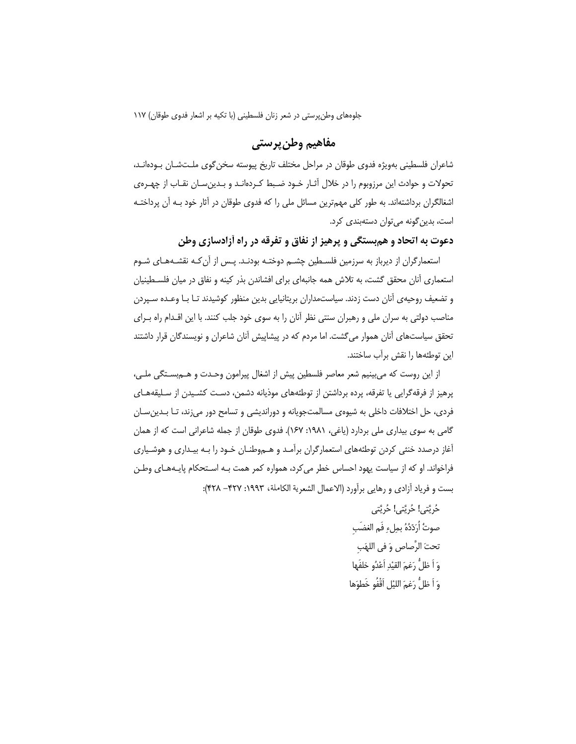# مفاهيم وطن يرستي

شاعران فلسطینی بهویژه فدوی طوقان در مراحل مختلف تاریخ پیوسته سخن گوی ملـتشـان بـودهانـد، تحولات و حوادث این مرزوبوم را در خلال آثـار خـود ضـبط کـردهانـد و بـدین،سـان نقـاب از چهـره.ی اشغالگران برداشتهاند. به طور کلی مهمترین مسائل ملی را که فدوی طوقان در آثار خود بـه آن پرداختـه است، بدین گونه میتوان دستهبندی کرد.

دعوت به اتحاد و هم بستگی و پرهیز از نفاق و تفرقه در راه أزادسازی وطن

استعمارگران از دیرباز به سرزمین فلسـطین چشـم دوختـه بودنـد. پـس از آن کـه نقشـههـای شـوم استعماری آنان محقق گشت، به تلاش همه جانبهای برای افشاندن بذر کینه و نفاق در میان فلسـطینیان و تضعیف روحیهی آنان دست زدند. سیاستمداران بریتانیایی بدین منظور کوشیدند تـا بـا وعـده سـپردن مناصب دولتی به سران ملی و رهبران سنتی نظر آنان را به سوی خود جلب کنند. با این اقـدام راه بـرای تحقق سیاستهای آنان هموار میگشت. اما مردم که در پیشاپیش آنان شاعران و نویسندگان قرار داشتند این توطئهها را نقش برآب ساختند.

از این روست که میبینیم شعر معاصر فلسطین پیش از اشغال پیرامون وحـدت و هــمېسـتگی ملـی، یرهیز از فرقهگرایی یا تفرقه، پرده برداشتن از توطئههای موذیانه دشمن، دست کشـیدن از سـلیقههـای فردی، حل اختلافات داخلی به شیوهی مسالمتجویانه و دوراندیشی و تسامح دور میزند، تـا بـدینِسـان گامی به سوی بیداری ملی بردارد (یاغی، ۱۹۸۱: ۱۶۷). فدوی طوقان از جمله شاعرانی است که از همان آغاز درصدد خنثی کردن توطئههای استعمارگران برآمد و هـموطنــان خــود را بــه بیــداری و هوشـياری فراخواند. او که از سیاست یهود احساس خطر می کرد، همواره کمر همت بـه اسـتحکام پایـههـای وطـن بست و فرياد أزادي و رهايي برأورد (الاعمال الشعرية الكاملة، ١٩٩٣: ٣٢٧– ٣٢٨):

> حُرِيَّتِي! حُرِيَّتِي! حُرِيَّتِي صوتُ أَرَدّدُهُ بِملء فَمِ الغضَبِ تحتَ الرَّصاصِ وَ في اللهَب وَ اَ ظلُّ رَغمَ القيْدِ اَعْدُو خلفَها وَ اَ ظَلُّ رَغِمَ اللَّيْلِ اَقْفُو خَطوَها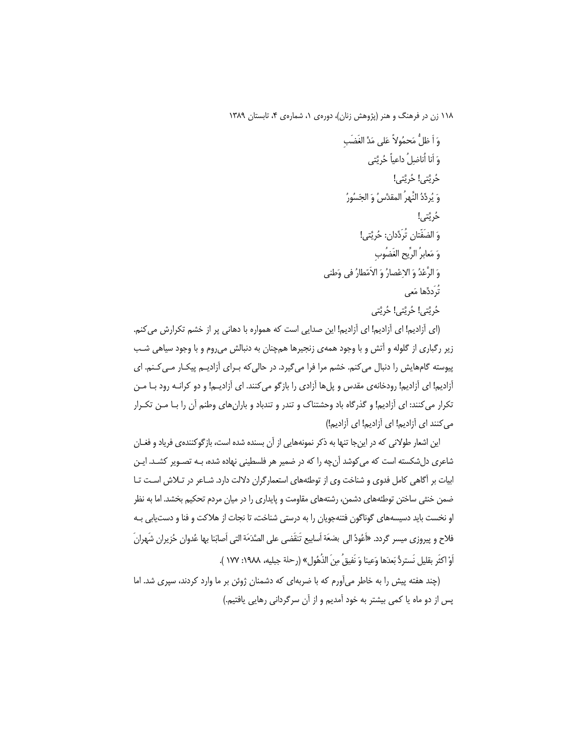وَ أَ ظَلُّ مَحِمُولاً عَلى مَدِّ الغَضَبِ وَ أَنا أُناضِلُ داعياً خُرِيَّتي حُرِيَّتِي! حُرِيَّتِي! وَ يُرِدِّدُ النَّهرُ المقدَّسُ وَ الجَسُورُ حُرِيَّتي! وَ الضَفّتانِ تُرَدِّدانِ: حُرِيَّتِي! وَ مَعابِرُ الرِّيحِ الغَضُوبِ وَ الرَّعْدُ وَ الاِعْصارُ وَ الاَمّطارُ في وَطني تُرَددِّها مَعي حُرِيَّتِي! حُرِيَّتِي! حُرِيَّتِي

(ای آزادیم! ای آزادیم! ای آزادیم! این صدایی است که همواره با دهانی پر از خشم تکرارش می کنم. زیر رگباری از گلوله و آتش و با وجود همهی زنجیرها همچنان به دنبالش میروم و با وجود سیاهی شب پیوسته گامهایش را دنبال می کنم. خشم مرا فرا میگیرد. در حالی که بـرای آزادیـم پیکـار مـی کـنم. ای آزادیم! ای آزادیم! رودخانهی مقدس و پلها آزادی را بازگو میکنند. ای آزادیـم! و دو کرانـه رود بـا مـن تکرار می کنند: ای آزادیم! و گذرگاه باد وحشتناک و تندر و تندباد و بارانهای وطنم آن را بـا مـن تکـرار می کنند ای آزادیم! ای آزادیم! ای آزادیم!)

این اشعار طولانی که در اینجا تنها به ذکر نمونههایی از آن بسنده شده است، بازگوکنندهی فریاد و فغـان شاعری دلشکسته است که میکوشد آنچه را که در ضمیر هر فلسطینی نهاده شده، بـه تصـویر کشـد. ایـن ابیات بر آگاهی کامل فدوی و شناخت وی از توطئههای استعمارگران دلالت دارد. شـاعر در تـلاش اسـت تـا ضمن خنثی ساختن توطئههای دشمن، رشتههای مقاومت و پایداری را در میان مردم تحکیم بخشد. اما به نظر او نخست باید دسیسههای گوناگون فتنهجویان را به درستی شناخت، تا نجات از هلاکت و فنا و دستیابی بـه فلاح و پيروزي ميسر گردد. «أَعُودُ الى بضعَة أسابيع تَنقَضي على الصَّدَمَة التي أصابَنا بها عُدوان حُزيران شَهرانَ أَوْ اكثَرِ بقليل نَستردُّ بَعدَها وَعينا وَ نَفيق ُ من الذُهُول » (رحلة جبليه، ١٩٨٨: ١٧٧ ).

(چند هفته پیش را به خاطر میآورم که با ضربهای که دشمنان ژوئن بر ما وارد کردند، سپری شد. اما پس از دو ماه یا کمی بیشتر به خود آمدیم و از آن سرگردانی رهایی یافتیم.)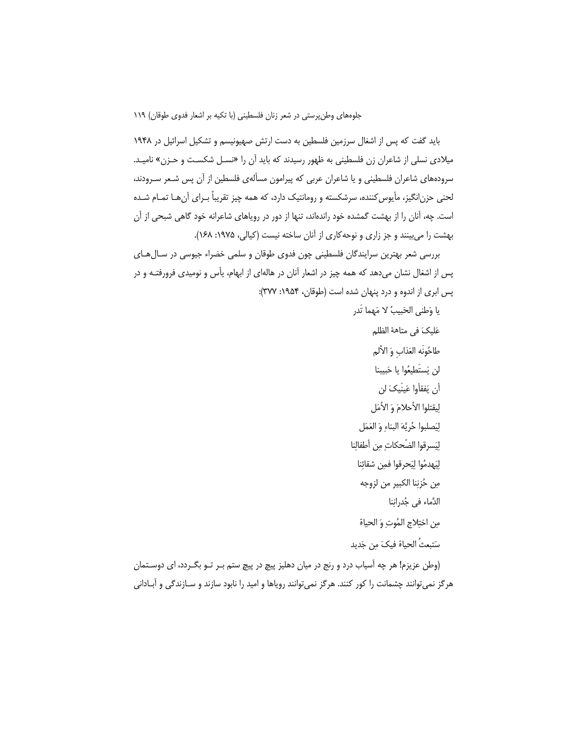باید گفت که پس از اشغال سرزمین فلسطین به دست ارتش صهیونیسم و تشکیل اسرائیل در ۱۹۴۸ میلادی نسلی از شاعران زن فلسطینی به ظهور رسیدند که باید آن را «نسـل شکسـت و حـزن» نامیـد. سرودههای شاعران فلسطینی و یا شاعران عربی که پیرامون مسألهی فلسطین از آن پس شـعر سـرودند، لحنی حزن|نگیز، مأیوس کننده، سرشکسته و رومانتیک دارد، که همه چیز تقریباً بـرای آن هـا تمـام شـده است. چه، آنان را از بهشت گمشده خود راندهاند، تنها از دور در رویاهای شاعرانه خود گاهی شبحی از آن بهشت را میبینند و جز زاری و نوحه کاری از آنان ساخته نیست (کیالی، ۱۹۷۵: ۱۶۸).

بررسی شعر بهترین سرایندگان فلسطینی چون فدوی طوقان و سلمی خضراء جیوسی در سـال هـای پس از اشغال نشان میدهد که همه چیز در اشعار آنان در هالهای از ابهام، یأس و نومیدی فرورفتـه و در پس ابری از اندوه و درد پنهان شده است (طوقان، ۱۹۵۴: ۳۷۷):

> يا وَطني الحَبِيبُ لا مَهما تَدر عَليكَ في متاهة الظلم

> > طاحُونَه العَذاب وَ الألم

لن يَستَطيعُوا يا حَبيبنا

أن يَفقأوا عَينَيكَ لن

لِيقتلوا الأحلامَ وَ الأمَل

لِيَصلبوا حُرِيَّهَ البناءِ وَ العَمَل

لِيَسرقوا الضّحكات مِن أطفالِنا

لِيَهدمُوا لِيَحرقوا فمِن شقائِنا

مِن حُزنِنا الكبير من لزوجه

الدٌماء في جُدرانِنا

من اختلاج المُوت وَ الحياة

سَتبعثُ الحياة فيكَ مِن جَديد

(وطن عزیزم! هر چه آسیاب درد و رنج در میان دهلیز پیچ در پیچ ستم بـر تـو بگـردد، ای دوسـتمان هرگز نمیتوانند چشمانت را کور کنند. هرگز نمیتوانند رویاها و امید را نابود سازند و سـازندگی و آبـادانی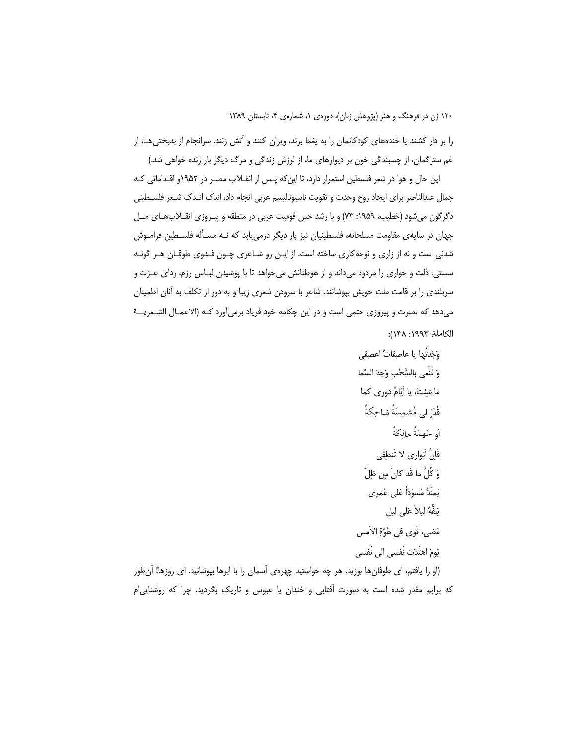را بر دار کشند یا خندههای کودکانمان را به یغما برند، ویران کنند و آتش زنند. سرانجام از بدبختی هـا، از غم سترگمان، از چسبندگی خون بر دیوارهای ما، از لرزش زندگی و مرگ دیگر بار زنده خواهی شد.)

این حال و هوا در شعر فلسطین استمرار دارد، تا این که پـس از انقــلاب مصـر در ۱۹۵۲و اقــداماتی کـه جمال عبدالناصر براي ايجاد روح وحدت و تقويت ناسيوناليسم عربي انجام داد، اندك انـدك شـعر فلسـطيني دگرگون میشود (خطیب، ۱۹۵۹: ۷۳) و با رشد حس قومیت عربی در منطقه و پیـروزی انقـلابهـای ملـل جهان در سایهی مقاومت مسلحانه، فلسطینیان نیز بار دیگر درمیbیابد که نـه مسـأله فلسـطین فرامـوش شدنی است و نه از زاری و نوحه کاری ساخته است. از ایـن رو شـاعری چـون فـدوی طوقـان هـر گونـه سستی، ذلت و خواری را مردود میداند و از هوطنانش میخواهد تا با پوشیدن لبـاس رزم، ردای عـزت و سربلندی را بر قامت ملت خویش بپوشانند. شاعر با سرودن شعری زیبا و به دور از تکلف به آنان اطمینان مى‹هد كه نصرت و پيروزي حتمي است و در اين چكامه خود فرياد برمي∫ورد كـه (الاعمـال الشـعريـــة الكاملة، ١٩٩٣: ١٣٨):

(او را یافتم، ای طوفانها بوزید. هر چه خواستید چهرهی آسمان را با ابرها بپوشانید. ای روزها! آنطور که برایم مقدر شده است به صورت آفتابی و خندان یا عبوس و تاریک بگردید. چرا که روشنایی ام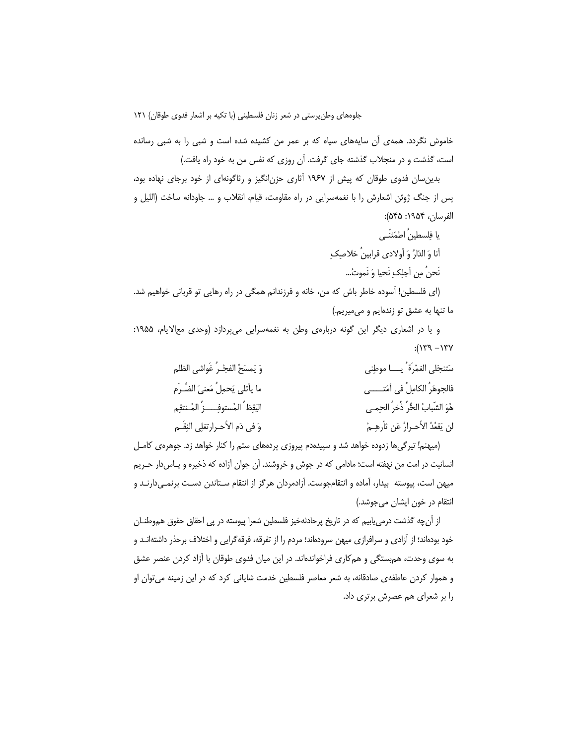خاموش نگردد. همهی آن سایههای سیاه که بر عمر من کشیده شده است و شبی را به شبی رسانده است، گذشت و در منجلاب گذشته جای گرفت. آن روزی که نفس من به خود راه یافت.)

بدین سان فدوی طوقان که پیش از ۱۹۶۷ آثاری حزن انگیز و رثاگونهای از خود برجای نهاده بود، پس از جنگ ژوئن اشعارش را با نغمهسرایی در راه مقاومت، قیام، انقلاب و … جاودانه ساخت (اللیل و الفرسان، ١٩۵۴: ۵۴۵):

> یا فلسطینُ اطمَئنّے ِ أنا وَ الدّارُ وَ أولادي قرابينُ خلاصک نَحنُ مِن أجلِكِ نَحيا وَ نَموتُ...

(ای فلسطین! آسوده خاطر باش که من، خانه و فرزندانم همگی در راه رهایی تو قربانی خواهیم شد. ما تنها به عشق تو زندهایم و میمیریم.)

و یا در اشعاری دیگر این گونه دربارهی وطن به نغمهسرایی می پردازد (وحدی معالایام، ۱۹۵۵:  $Y''$ / -  $Y''$ /:

| وَ يَمسَحُ الفجْـرُ غَواشى الظلم     | سَتنجَلي الغمْر <sup>َ</sup> ة ُ يـــــا موطِني |
|--------------------------------------|-------------------------------------------------|
| ما يأتلي يَحمِلُ مَعنىَ الضَّـرَم    | فالجوهَرُ الكامِلُ في أمَتـــــي                |
| اليَقِظ ُ المُستوفِــــزُ المُـنتقِم | هُوَ الشّبابُ الحُّرُ ذُخرُ الحِمـى             |
| وَ في دَمِ الأحـرارتغلِي النِقَـمِ   | لن يَقعُدُ الأحـرارُ عَن ثأرهِــمْ              |

(میهنم! تیرگی ها زدوده خواهد شد و سیپدهدم پیروزی پردههای ستم را کنار خواهد زد. جوهرهی کامـل انسانیت در امت من نهفته است؛ مادامی که در جوش و خروشند. آن جوان آزاده که ذخیره و پـاسدار حـریم میهن است، پیوسته بیدار، آماده و انتقامجوست. آزادمردان هرگز از انتقام سـتاندن دسـت برنمـیدارنـد و انتقام در خون ایشان میجوشد.)

از آنچه گذشت درمی یابیم که در تاریخ پرحادثهخیز فلسطین شعرا پیوسته در پی احقاق حقوق هموطنــان خود بودهاند؛ از آزادی و سرافرازی میهن سرودهاند؛ مردم را از تفرقه، فرقه گرایی و اختلاف برحذر داشتهانـد و به سوی وحدت، هم ستگی و هم کاری فراخواندهاند. در این میان فدوی طوقان با آزاد کردن عنصر عشق و هموار کردن عاطفهی صادقانه، به شعر معاصر فلسطین خدمت شایانی کرد که در این زمینه می¤وان او را بر شعرای هم عصرش برتری داد.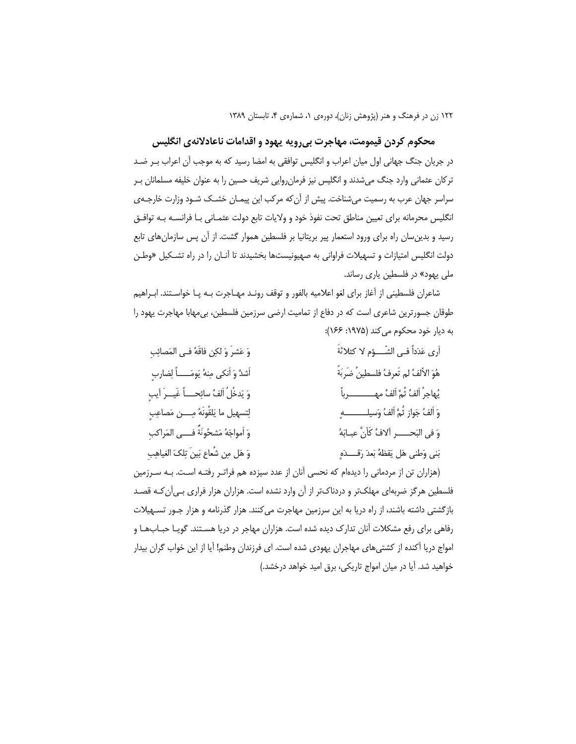### محکوم کردن قیمومت، مهاجرت بیرویه یهود و اقدامات ناعادلانهی انگلیس

در جریان جنگ جهانی اول میان اعراب و انگلیس توافقی به امضا رسید که به موجب آن اعراب بـر ضـد ترکان عثمانی وارد جنگ میشدند و انگلیس نیز فرمانرروایی شریف حسین را به عنوان خلیفه مسلمانان بـر سراسر جهان عرب به رسمیت می شناخت. پیش از آن که مرکب این پیمـان خشــک شـود وزارت خارجــهی انگلیس محرمانه برای تعیین مناطق تحت نفوذ خود و ولایات تابع دولت عثمـانی بـا فرانسـه بـه توافـق رسید و بدین سان راه برای ورود استعمار پیر بریتانیا بر فلسطین هموار گشت. از آن پس سازمان های تابع دولت انگلیس امتیازات و تسهیلات فراوانی به صهیونیستها بخشیدند تا آنـان را در راه تشـكیل «وطـن ملی یهود» در فلسطین یاری رساند.

شاعران فلسطینی از آغاز برای لغو اعلامیه بالفور و توقف رونـد مهـاجرت بـه پـا خواسـتند. ابـراهیم طوقان جسورترین شاعری است که در دفاع از تمامیت ارضی سرزمین فلسطین، بی مهابا مهاجرت یهود را به دیار خود محکوم می کند (۱۹۷۵: ۱۶۶):

| وَ عَشرَ وَ لكِن فَاقَهُ فـي المَصائِبِ    | أرى عَدَداً فـى الشّـــؤم لا كثلاثةَ          |
|--------------------------------------------|-----------------------------------------------|
| أشدَّ وَ أنكي مِنهُ يَومَـــــاً لِضاربِ   | هُوَ الأَلفُ لم تَعرفُ فلسطينُ ضَربَةً        |
| وَ يَدخُلُ اَلفُ سائِحــــاً غَيـــرَ آيبِ | يُهاجرُ اَلفُ ثُمَّ اَلفُ مهـــــــــــــرباً |
| لِتسهيل ما يَلقُونَهُ مِــــن مَصاعِبٍ     | وَ اَلفُ جَوازٍ ثُمَّ اَلفُ وَسيلــــــــــهِ |
| وَ اَمواجَهُ مَشحُونَةٌ فــــى المَراكبِ   | وَ في البَحـــــر ألافُ كَأَنَّ عبـابَهُ      |
| وَ هَل مِن شُعاع بَينَ تِلكَ الغياهِبِ     | بَني وَطني هَل يَقظهُ بَعدَ رَقَـــدَهٍ       |

(هزاران تن از مردمانی را دیدهام که نحسی آنان از عدد سیزده هم فراتـر رفتـه اسـت. بـه سـرزمین فلسطین هرگز ضربهای مهلکتر و دردناکتر از آن وارد نشده است. هزاران هزار فراری بی آن کـه قصـد بازگشتی داشته باشند، از راه دریا به این سرزمین مهاجرت میکنند. هزار گذرنامه و هزار جـور تسـهیلات رفاهی برای رفع مشکلات آنان تدارک دیده شده است. هزاران مهاجر در دریا هسـتند. گویـا حبـابـهـا و امواج دریا آکنده از کشتیهای مهاجران یهودی شده است. ای فرزندان وطنم! آیا از این خواب گران بیدار خواهید شد. آیا در میان امواج تاریکی، برق امید خواهد درخشد.)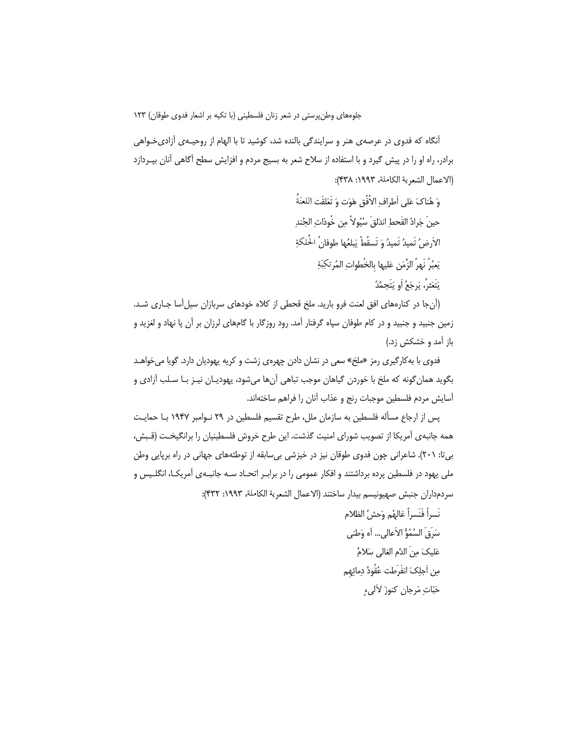آنگاه که فدوی در عرصهی هنر و سرایندگی بالنده شد، کوشید تا با الهام از روحیـهی آزادیخـواهی برادر، راه او را در پیش گیرد و با استفاده از سلاح شعر به بسیج مردم و افزایش سطح آگاهی آنان بپـردازد (الاعمال الشعرية الكاملة، ١٩٩٣: ٣٣٨):

> وَ هُناكَ عَلى أطرافِ الأُفُقِ هَوَت وَ تَعَلَّقَتِ اللعنَةُ حينَ جَرادُ القَحطِ اندَلقَ سُيُولاً مِن خُوذاتِ الجُندِ الأرضُ تَميدُ تَميدُ وَ تَسقُطُ يَبلغُها طوفانُ الحُلكةِ يَعبُرُ نَهرُ الزَّمَنِ عَليها بالخُطواتِ المُرتكِبَةِ يَتَعَثرُ، يَرجَعُ أَو يَتَجِمَّدُ

(آنجا در کنارههای افق لعنت فرو بارید. ملخ قحطی از کلاه خودهای سربازان سیلآسا جـاری شـد. زمین جنبید و جنبید و در کام طوفان سپاه گرفتار آمد. رود روزگار با گامهای لرزان بر آن پا نهاد و لغزید و باز آمد و خشکش زد.)

فدوی با به کارگیری رمز «ملخ» سعی در نشان دادن چهرهی زشت و کریه یهودیان دارد. گویا میخواهـد بگويد همان گونه كه ملخ با خوردن گياهان موجب تباهي آنها ميشود، يهوديـان نيـز بـا سـلب آزادي و آسايش مردم فلسطين موجبات رنج و عذاب آنان را فراهم ساختهاند.

پس از ارجاع مسأله فلسطین به سازمان ملل، طرح تقسیم فلسطین در ۲۹ نـوامبر ۱۹۴۷ بـا حمایـت همه جانبهی آمریکا از تصویب شورای امنیت گذشت. این طرح خروش فلسطینیان را برانگیخـت (قـبش، بی تا: ۲۰۱). شاعرانی چون فدوی طوقان نیز در خیزشی بی سابقه از توطئههای جهانی در راه برپایی وطن ملی یهود در فلسطین پرده برداشتند و افکار عمومی را در برابـر اتحـاد سـه جانبـهی آمریکـا، انگلـیس و سردمداران جنبش صهيونيسم بيدار ساختند (الاعمال الشعرية الكاملة، ١٩٩٣: ٣٣٢):

> نَسراً فَنَسراً غالهُم وَحشُ الظلام سَرَقَ السُمُوُّ الأعالى… أه وَطني عَليكَ منَ الدَّم الغالي سَلامٌ مِن اَجلِكَ انفَرَطت عُقُودُ دِمائِهِم حَبّاتِ مَرجانٍ كنوزَ لألىءِ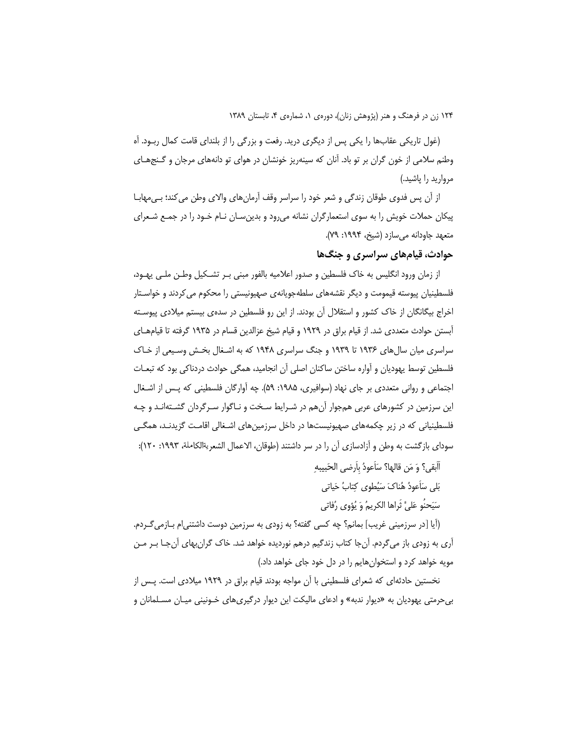(غول تاریکی عقابها را یکی پس از دیگری درید. رفعت و بزرگی را از بلندای قامت کمال ربــود. اَه وطنم سلامی از خون گران بر تو باد. آنان که سینهریز خونشان در هوای تو دانههای مرجان و گـنجهـای مروارید را یاشید.)

از أن پس فدوی طوقان زندگی و شعر خود را سراسر وقف آرمانِهای والای وطن می کند؛ بـی،هابــا پیکان حملات خویش را به سوی استعمارگران نشانه میرود و بدینسان نـام خـود را در جمـع شـعرای متعهد جاودانه می سازد (شیخ، ۱۹۹۴: ۷۹).

## حوادث، قیامهای سراسری و جنگها

از زمان ورود انگلیس به خاک فلسطین و صدور اعلامیه بالفور مبنی بـر تشـکیل وطـن ملـی یهـود، فلسطینیان پیوسته قیمومت و دیگر نقشههای سلطهجویانهی صهیونیستی را محکوم می کردند و خواسـتار اخراج بیگانگان از خاک کشور و استقلال آن بودند. از این رو فلسطین در سدهی بیستم میلادی پیوسـته آبستن حوادث متعددی شد. از قیام براق در ۱۹۲۹ و قیام شیخ عزالدین قسام در ۱۹۳۵ گرفته تا قیامهـای سراسری میان سال های ۱۹۳۶ تا ۱۹۳۹ و جنگ سراسری ۱۹۴۸ که به اشـغال بخـش وسـیعی از خـاک فلسطین توسط یهودیان و آواره ساختن ساکنان اصلی آن انجامید، همگی حوادث دردناکی بود که تبعـات اجتماعی و روانی متعددی بر جای نهاد (سوافیری، ۱۹۸۵: ۵۹). چه آوارگان فلسطینی که پـس از اشـغال این سرزمین در کشورهای عربی همجوار آنهم در شـرایط سـخت و نـاگوار سـرگردان گشـتهانـد و چـه فلسطینیانی که در زیر چکمههای صهیونیستها در داخل سرزمینهای اشـغالی اقامـت گزیدنـد، همگـی سودای بازگشت به وطن و آزادسازی آن را در سر داشتند (طوقان، الاعمال الشعريةالكاملة، ۱۹۹۳: ۱۲۰):

أَأَبقي؟ وَ مَن قالها؟ سَأَعودُ بِأَرضي الحَبيبهِ

بَلِّي سَأَعوِدُ هُناكَ سَيُطوى كتابُ حَياتِي

سَيَحنُو عَلىَّ ثَراها الكريمُ وَ يُؤوى رُفاتي

(أيا [در سرزميني غريب] بمانم؟ چه كسي گفته؟ به زودي به سرزمين دوست داشتني|م بــازمي٤كـردم. آری به زودی باز میگردم. آنجا کتاب زندگیم درهم نوردیده خواهد شد. خاک گرانبهای آنجـا بـر مـن مویه خواهد کرد و استخوانهایم را در دل خود جای خواهد داد.)

نخستین حادثهای که شعرای فلسطینی با آن مواجه بودند قیام براق در ۱۹۲۹ میلادی است. پـس از بی حرمتی یهودیان به «دیوار ندبه» و ادعای مالیکت این دیوار درگیریهای خـونینی میـان مسـلمانان و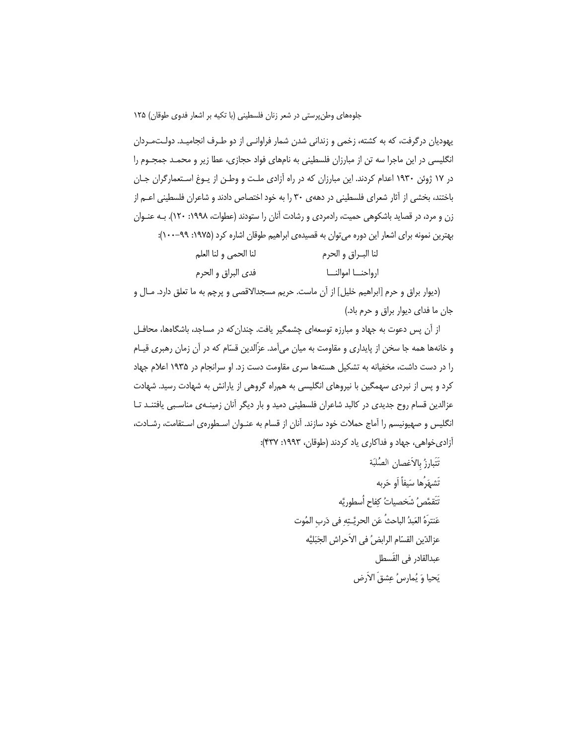یهودیان درگرفت، که به کشته، زخمی و زندانی شدن شمار فراوانـی از دو طـرف انجامیـد. دولـتمـردان انگلیسی در این ماجرا سه تن از مبارزان فلسطینی به نامهای فواد حجازی، عطا زیر و محمـد جمجـوم را در ۱۷ ژوئن ۱۹۳۰ اعدام کردند. این مبارزان که در راه آزادی ملت و وطـن از یـوغ اسـتعمارگران جـان باختند، بخشی از آثار شعرای فلسطینی در دههی ۳۰ را به خود اختصاص دادند و شاعران فلسطینی اعــم از زن و مرد، در قصاید باشکوهی حمیت، رادمردی و رشادت آنان را ستودند (عطوات، ۱۹۹۸: ۱۲۰). بـه عنـوان بهترین نمونه برای اشعار این دوره می توان به قصیدهی ابراهیم طوقان اشاره کرد (۱۹۷۵: ۹۹–۱۰۰):

| لنا الحمى و لنا العلم | لنا البـراق و الحرم  |
|-----------------------|----------------------|
| فدي البراق و الحرم    | ارواحنــا اموالنـــا |

(دیوار براق و حرم [ابراهیم خلیل] از آن ماست. حریم مسجدالاقصی و پرچم به ما تعلق دارد. مـال و جان ما فدای دیوار براق و حرم باد.)

از آن پس دعوت به جهاد و مبارزه توسعهای چشمگیر یافت. چندان که در مساجد، باشگاهها، محافـل و خانهها همه جا سخن از پایداری و مقاومت به میان میآمد. عزّالدین قسّام که در آن زمان رهبری قیـام را در دست داشت، مخفیانه به تشکیل هستهها سری مقاومت دست زد. او سرانجام در ۱۹۳۵ اعلام جهاد کرد و پس از نبردی سهمگین با نیروهای انگلیسی به همراه گروهی از پارانش به شهادت رسید. شهادت عزالدین قسام روح جدیدی در کالبد شاعران فلسطینی دمید و بار دیگر آنان زمینـهی مناسـبی یافتنـد تـا انگلیس و صهیونیسم را آماج حملات خود سازند. آنان از قسام به عنـوان اسـطورهی اسـتقامت، رشـادت، آزادي خواهي، جهاد و فداكاري ياد كردند (طوقان، ١٩٩٣: ۴٣٧):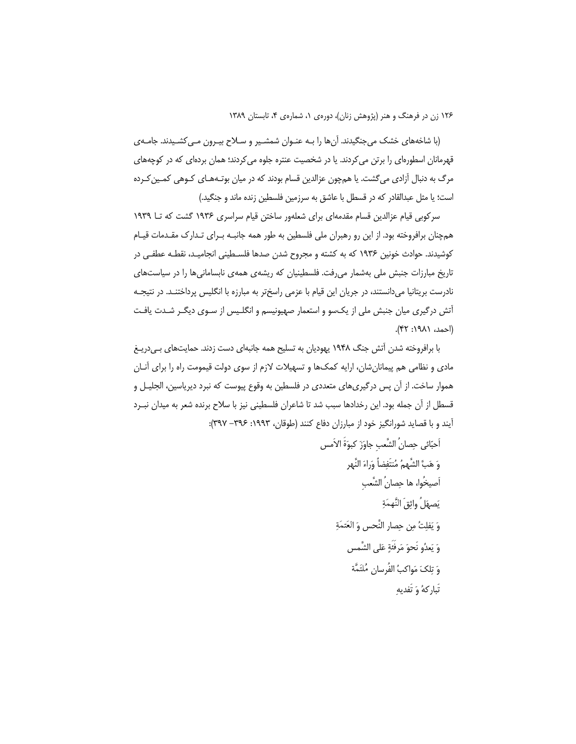(با شاخههای خشک میجنگیدند. آنها را بـه عنـوان شمشـیر و سـلاح بیـرون مـی کشـیدند. جامـهی قهرمانان اسطورهای را برتن می کردند. یا در شخصیت عنتره جلوه می کردند؛ همان بردهای که در کوچههای مرگ به دنبال آزادی می گشت. یا همچون عزالدین قسام بودند که در میان بوتـههـای کـوهی کمـین کـرده است؛ یا مثل عبدالقادر که در قسطل با عاشق به سرزمین فلسطین زنده ماند و جنگید.)

سرکوبی قیام عزالدین قسام مقدمهای برای شعلهور ساختن قیام سراسری ۱۹۳۶ گشت که تــا ۱۹۳۹ همچنان برافروخته بود. از این رو رهبران ملی فلسطین به طور همه جانبـه بـرای تـدارک مقـدمات قیـام کوشیدند. حوادث خونین ۱۹۳۶ که به کشته و مجروح شدن صدها فلسـطینی انجامیـد، نقطـه عطفـی در تاریخ مبارزات جنبش ملی بهشمار میرفت. فلسطینیان که ریشهی همهی نابسامانیها را در سیاستهای نادرست بریتانیا میدانستند، در جریان این قیام با عزمی راسختر به مبارزه با انگلیس پرداختنـد. در نتیجـه آتش درگیری میان جنبش ملی از یکسو و استعمار صهیونیسم و انگلـیس از سـوی دیگـر شـدت یافـت (احمد، ۱۹۸۱: ۴۲).

با برافروخته شدن آتش جنگ ۱۹۴۸ یهودیان به تسلیح همه جانبهای دست زدند. حمایتهای بهیدریـغ مادی و نظامی هم پیمانانشان، ارایه کمکها و تسهیلات لازم از سوی دولت قیمومت راه را برای أنــان هموار ساخت. از آن پس درگیری.های متعددی در فلسطین به وقوع پیوست که نبرد دیریاسین، الجلیــل و قسطل از آن جمله بود. این رخدادها سبب شد تا شاعران فلسطینی نیز با سلاح برنده شعر به میدان نبـرد آیند و با قصاید شورانگیز خود از مبارزان دفاع کنند (طوقان، ۱۹۹۳: ۳۹۶– ۳۹۷):

س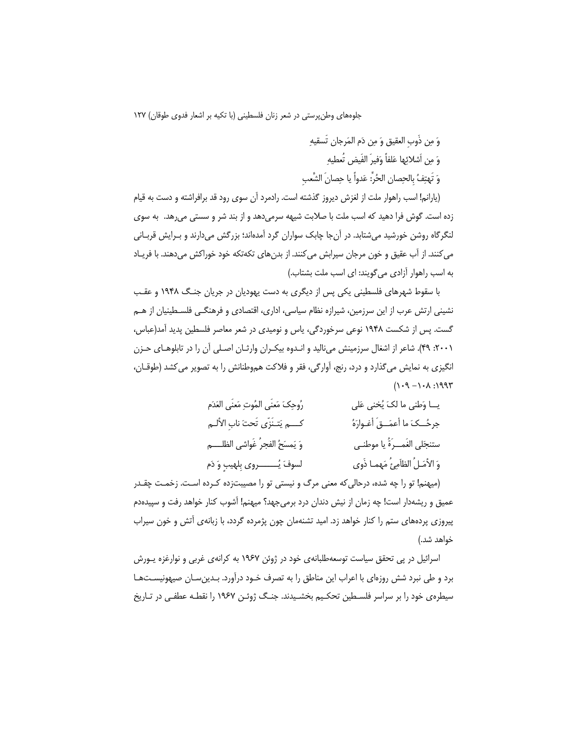وَ مِن ذَوب العقيق وَ مِن دَم المَرجانِ تَسقيهِ وَ مِن أشلائِها عَلفاً وَفيرَ الفَيضِ تُعطيهِ وَ تَهتِفُ بِالحِصانِ الحُرِّ: عَدواً يا حِصانَ الشَّعبِ

(يارانم! اسب راهوار ملت از لغزش ديروز گذشته است. رادمرد آن سوی رود قد برافراشته و دست به قيام زده است. گوش فرا دهید که اسب ملت با صلابت شیهه سرمیدهد و از بند شر و سستی می رهد. به سوی لنگرگاه روشن خورشید میشتابد. در آنجا چابک سواران گرد آمدهاند؛ بزرگش میدارند و بـرایش قربـانی می کنند. از آب عقیق و خون مرجان سیرابش می کنند. از بدن های تکهتکه خود خوراکش می دهند. با فریـاد به اسب راهوار آزادی می گویند: ای اسب ملت بشتاب.)

با سقوط شهرهای فلسطینی یکی پس از دیگری به دست یهودیان در جریان جنگ ۱۹۴۸ و عقب نشینی ارتش عرب از این سرزمین، شیرازه نظام سیاسی، اداری، اقتصادی و فرهنگـی فلسـطینیان از هـم گست. پس از شکست ۱۹۴۸ نوعی سرخوردگی، پاس و نومیدی در شعر معاصر فلسطین پدید آمد(عباس، ۲۰۰۱). شاعر از اشغال سرزمینش میiالید و انـدوه بیکـران وارثـان اصـلی آن را در تابلوهـای حـزن انگیزی به نمایش میگذارد و درد، رنج، آوارگی، فقر و فلاکت هموطنانش را به تصویر می کشد (طوقـان،  $(1.4 - 1.4)$ 

| رُوحِكَ مَعنَى المُوتِ مَعنَى العَدَم | يــا وَطنى ما لكَ يُخنى عَلى       |
|---------------------------------------|------------------------------------|
| كسم يَتـنَزّى تَحتَ نابِ الألـم       | جرحُــكَ ما أعمَــقَ أغـوارَهُ     |
| وَ يَمسَحُ الفجرُ غَواشي الظلــــم    | ستنجَلي الغَمــرَةُ يا موطنــي     |
| لسوفَ يُــــــــــروى بِلهيبٍ وَ دَم  | وَ الأَمَـلُ الظَامِئُ مَهمـا ذَوى |

(میهنم! تو را چه شده، درحالی که معنی مرگ و نیستی تو را مصیبتزده کـرده اسـت. زخمـت چقـدر عمیق و ریشهدار است! چه زمان از نیش دندان درد برمی جهد؟ میهنم! آشوب کنار خواهد رفت و سپیدهدم پیروزی پردههای ستم را کنار خواهد زد. امید تشنهمان چون پژمرده گردد، با زبانهی آتش و خون سیراب خواهد شد.)

اسرائیل در پی تحقق سیاست توسعهطلبانهی خود در ژوئن ۱۹۶۷ به کرانهی غربی و نوارغزه پورش برد و طی نبرد شش روزهای با اعراب این مناطق را به تصرف خـود درآورد. بـدینِسـان صیهونیسـتهـا سیطره ی خود را بر سراسر فلسـطین تحکـیم بخشـیدند. جنـگ ژوئـن ۱۹۶۷ را نقطـه عطفـی در تـاریخ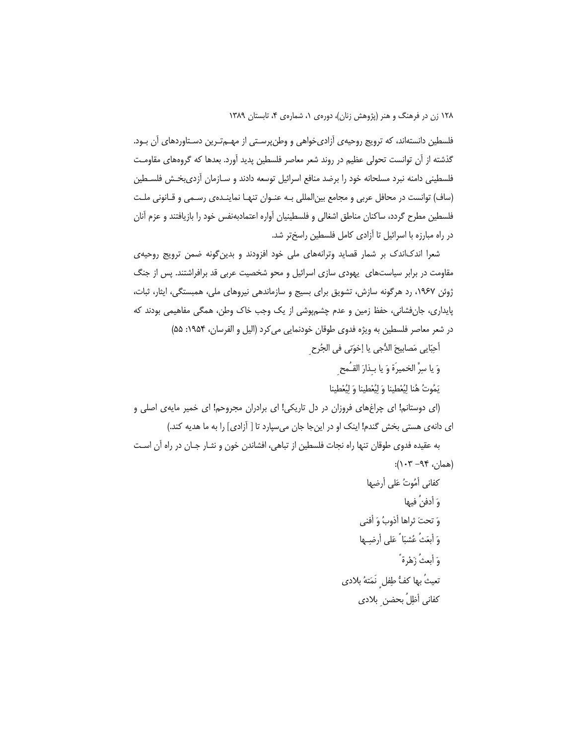فلسطین دانستهاند، که ترویج روحیهی آزادیخواهی و وطنپرسـتی از مهـمتـرین دسـتاوردهای آن بـود. گذشته از آن توانست تحولی عظیم در روند شعر معاصر فلسطین پدید آورد. بعدها که گروههای مقاومت فلسطینی دامنه نبرد مسلحانه خود را برضد منافع اسرائیل توسعه دادند و سـازمان آزدیبخـش فلسـطین (ساف) توانست در محافل عربی و مجامع بین|لمللی بـه عنـوان تنهـا نماینـدهی رسـمی و قـانونی ملـت فلسطین مطرح گردد، ساکنان مناطق اشغالی و فلسطینیان آواره اعتمادبهنفس خود را بازیافتند و عزم آنان در راه مبارزه با اسرائیل تا آزادی کامل فلسطین راسختر شد.

شعرا اندکاندک بر شمار قصاید وترانههای ملی خود افزودند و بدین گونه ضمن ترویج روحیهی مقاومت در برابر سیاستهای یهودی سازی اسرائیل و محو شخصیت عربی قد برافراشتند. پس از جنگ ژوئن ۱۹۶۷، رد هرگونه سازش، تشویق برای بسیج و سازماندهی نیروهای ملی، همبستگی، ایثار، ثبات، پایداری، جانفشانی، حفظ زمین و عدم چشمپوشی از یک وجب خاک وطن، همگی مفاهیمی بودند که در شعر معاصر فلسطین به ویژه فدوی طوقان خودنمایی می کرد (الیل و الفرسان، ۱۹۵۴: ۵۵)

أُحِبّايي مَصابيحَ الدُّجي يا إخوَتي في الجُرح

وَ يا سِرَّ الخميرَة وَ يا بـذارَ القـُمح

يَمُوتُ هُنا ليُعْطينا وَ ليُعْطينا وَ ليُعْطينا

(ای دوستانم! ای چراغهای فروزان در دل تاریکی! ای برادران مجروحم! ای خمیر مایهی اصلی و ای دانهی هستی بخش گندم! اینک او در اینجا جان میسپارد تا [ آزادی] را به ما هدیه کند.)

به عقيده فدوى طوقان تنها راه نجات فلسطين از تباهي، افشاندن خون و نشار جـان در راه آن اسـت  $(*\cdot)$ همان، ۹۴– ۱۰۳):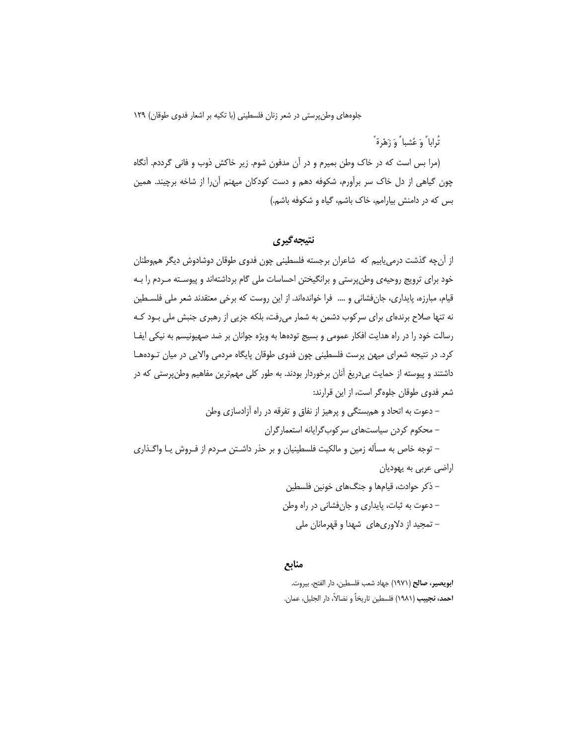تُراباً وَ عُشباً وَ زَهْرةً

(مرا بس است که در خاک وطن بمیرم و در آن مدفون شوم. زیر خاکش ذوب و فانی گرددم. اَنگاه چون گیاهی از دل خاک سر برآورم، شکوفه دهم و دست کودکان میهنم آن را از شاخه برچیند. همین بس که در دامنش بیارامم، خاک باشم، گیاه و شکوفه باشم.)

### نتيجه گيري

از آن چه گذشت درمی پابیم که شاعران برجسته فلسطینی چون فدوی طوقان دوشادوش دیگر هموطنان خود برای ترویج روحیهی وطن پرستی و برانگیختن احساسات ملی گام برداشتهاند و پیوسـته مـردم را بـه قیام، مبارزه، پایداری، جانفشانی و …. فرا خواندهاند. از این روست که برخی معتقدند شعر ملی فلسـطین نه تنها صلاح برندهای برای سرکوب دشمن به شمار می رفت، بلکه جزیی از رهبری جنبش ملی بـود کـه رسالت خود را در راه هدایت افکار عمومی و بسیج تودهها به ویژه جوانان بر ضد صهیونیسم به نیکی ایفـا کرد. در نتیجه شعرای میهن پرست فلسطینی چون فدوی طوقان پایگاه مردمی والایی در میان تـودههـا داشتند و پیوسته از حمایت بیدریغ آنان برخوردار بودند. به طور کلی مهمترین مفاهیم وطنپرستی که در شعر فدوی طوقان جلوهگر است، از این قرارند:

– دعوت به اتحاد و همٖبستگی و پرهیز از نفاق و تفرقه در راه آزادسازی وطن – محکوم کردن سیاستهای سرکوبگرایانه استعمارگران – توجه خاص به مسأله زمین و مالکیت فلسطینیان و بر حذر داشـتن مـردم از فـروش یـا واگـذاری

اراضی عربی به یهودیان

– ذکر حوادث، قیامها و جنگ@ای خونین فلسطین - دعوت به ثبات، پایداری و جانفشانی در راه وطن – تمجید از دلاوریهای شهدا و قهرمانان ملی

### منابع

ا**بويصير، صالح** (١٩٧١) جهاد شعب فلسطين، دار الفتح، بيروت. **احمد، نجيبب** (١٩٨١) فلسطين تاريخاً و نضالاً، دار الجليل، عمان.